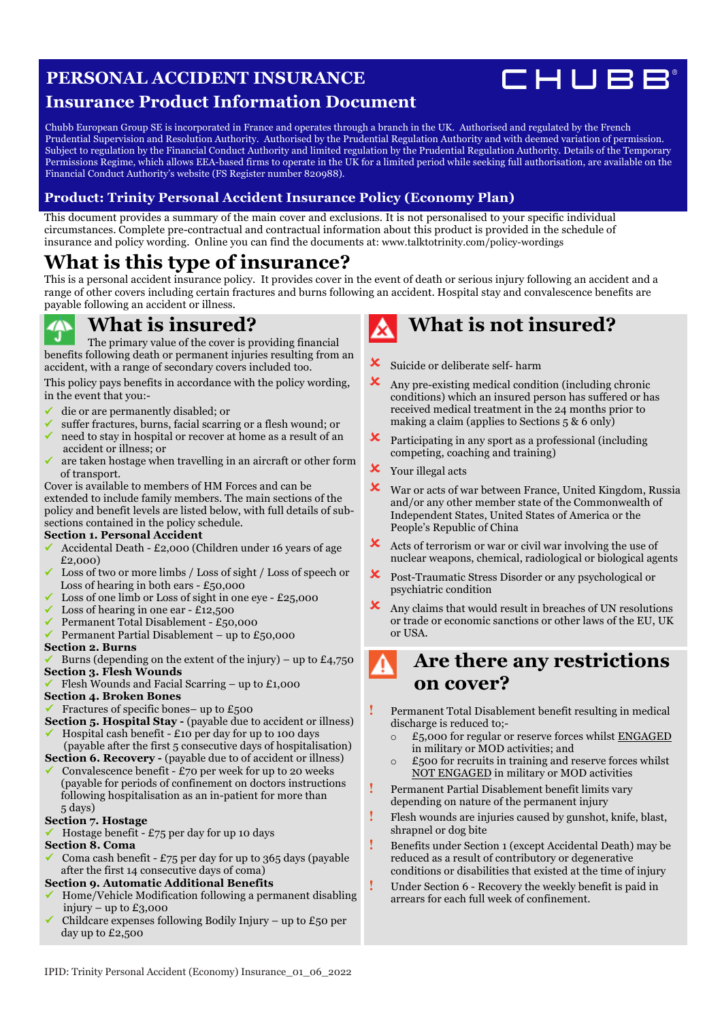### **PERSONAL ACCIDENT INSURANCE**



### **Insurance Product Information Document**

Chubb European Group SE is incorporated in France and operates through a branch in the UK. Authorised and regulated by the French Prudential Supervision and Resolution Authority. Authorised by the Prudential Regulation Authority and with deemed variation of permission. Subject to regulation by the Financial Conduct Authority and limited regulation by the Prudential Regulation Authority. Details of the Temporary Permissions Regime, which allows EEA-based firms to operate in the UK for a limited period while seeking full authorisation, are available on the Financial Conduct Authority's website (FS Register number 820988).

### **Product: Trinity Personal Accident Insurance Policy (Economy Plan)**

This document provides a summary of the main cover and exclusions. It is not personalised to your specific individual circumstances. Complete pre-contractual and contractual information about this product is provided in the schedule of insurance and policy wording. Online you can find the documents at: [www.talktotrinity.com/policy-wordings](https://www.talktotrinity.com/policy-wordings)

## **What is this type of insurance?**

This is a personal accident insurance policy. It provides cover in the event of death or serious injury following an accident and a range of other covers including certain fractures and burns following an accident. Hospital stay and convalescence benefits are payable following an accident or illness.

### **What is insured?**

The primary value of the cover is providing financial benefits following death or permanent injuries resulting from an accident, with a range of secondary covers included too.

This policy pays benefits in accordance with the policy wording, in the event that you:-

- ü die or are permanently disabled; or
- ü suffer fractures, burns, facial scarring or a flesh wound; or need to stay in hospital or recover at home as a result of an
- accident or illness; or ü are taken hostage when travelling in an aircraft or other form of transport.

Cover is available to members of HM Forces and can be extended to include family members. The main sections of the policy and benefit levels are listed below, with full details of subsections contained in the policy schedule.

#### **Section 1. Personal Accident**

- ü Accidental Death £2,000 (Children under 16 years of age £2,000)
- Loss of two or more limbs / Loss of sight / Loss of speech or Loss of hearing in both ears  $-$  £50,000
- Loss of one limb or Loss of sight in one eye  $£25,000$
- Loss of hearing in one ear  $-$  £12,500
- ü Permanent Total Disablement £50,000
- Permanent Partial Disablement up to  $£50,000$

#### **Section 2. Burns**

- Burns (depending on the extent of the injury) up to  $£4,750$ **Section 3. Flesh Wounds**
- Flesh Wounds and Facial Scarring up to  $£1,000$

#### **Section 4. Broken Bones**

- Fractures of specific bones– up to  $£500$
- **Section 5. Hospital Stay** (payable due to accident or illness)
- Hospital cash benefit  $£10$  per day for up to 100 days (payable after the first 5 consecutive days of hospitalisation)
- **Section 6. Recovery** (payable due to of accident or illness) Convalescence benefit -  $£70$  per week for up to 20 weeks (payable for periods of confinement on doctors instructions
- following hospitalisation as an in-patient for more than 5 days)

#### **Section 7. Hostage**

#### Hostage benefit -  $£75$  per day for up 10 days

#### **Section 8. Coma**

Coma cash benefit - £75 per day for up to 365 days (payable after the first 14 consecutive days of coma)

#### **Section 9. Automatic Additional Benefits**

- ü Home/Vehicle Modification following a permanent disabling injury – up to  $E_3,000$
- Childcare expenses following Bodily Injury up to  $£50$  per day up to £2,500

# **What is not insured?**

- **X** Suicide or deliberate self- harm
- $\mathbf{\times}$  Any pre-existing medical condition (including chronic conditions) which an insured person has suffered or has received medical treatment in the 24 months prior to making a claim (applies to Sections 5 & 6 only)
- ! Participating in any sport as a professional (including competing, coaching and training)
- **X** Your illegal acts
- ! War or acts of war between France, United Kingdom, Russia and/or any other member state of the Commonwealth of Independent States, United States of America or the People's Republic of China
- $\mathsf{\times}$  Acts of terrorism or war or civil war involving the use of nuclear weapons, chemical, radiological or biological agents
- ! Post-Traumatic Stress Disorder or any psychological or psychiatric condition
- ! Any claims that would result in breaches of UN resolutions or trade or economic sanctions or other laws of the EU, UK or USA.

### **Are there any restrictions on cover?**

- **!** Permanent Total Disablement benefit resulting in medical discharge is reduced to;
	- o £5,000 for regular or reserve forces whilst ENGAGED in military or MOD activities; and
	- $\circ$  £500 for recruits in training and reserve forces whilst NOT ENGAGED in military or MOD activities
- **!** Permanent Partial Disablement benefit limits vary depending on nature of the permanent injury
- **!** Flesh wounds are injuries caused by gunshot, knife, blast, shrapnel or dog bite
- **!** Benefits under Section 1 (except Accidental Death) may be reduced as a result of contributory or degenerative conditions or disabilities that existed at the time of injury
- **!** Under Section 6 Recovery the weekly benefit is paid in arrears for each full week of confinement.